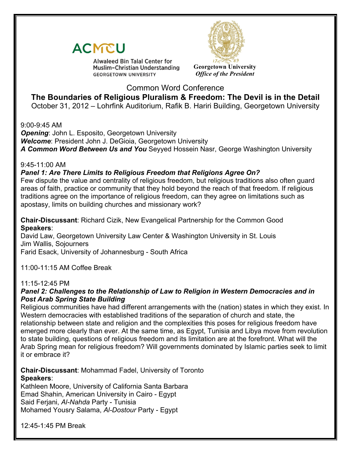



**Alwaleed Bin Talal Center for** Muslim-Christian Understanding **GEORGETOWN UNIVERSITY** 

**Georgetown University** *Office of the President*

# Common Word Conference

**The Boundaries of Religious Pluralism & Freedom: The Devil is in the Detail** October 31, 2012 – Lohrfink Auditorium, Rafik B. Hariri Building, Georgetown University

9:00-9:45 AM

*Opening: John L. Esposito, Georgetown University* 

*Welcome*: President John J. DeGioia, Georgetown University

*A Common Word Between Us and You* Seyyed Hossein Nasr, George Washington University

9:45-11:00 AM

# *Panel 1: Are There Limits to Religious Freedom that Religions Agree On?*

Few dispute the value and centrality of religious freedom, but religious traditions also often guard areas of faith, practice or community that they hold beyond the reach of that freedom. If religious traditions agree on the importance of religious freedom, can they agree on limitations such as apostasy, limits on building churches and missionary work?

**Chair-Discussant**: Richard Cizik, New Evangelical Partnership for the Common Good **Speakers**:

David Law, Georgetown University Law Center & Washington University in St. Louis Jim Wallis, Sojourners Farid Esack, University of Johannesburg - South Africa

11:00-11:15 AM Coffee Break

## 11:15-12:45 PM

## *Panel 2: Challenges to the Relationship of Law to Religion in Western Democracies and in Post Arab Spring State Building*

Religious communities have had different arrangements with the (nation) states in which they exist. In Western democracies with established traditions of the separation of church and state, the relationship between state and religion and the complexities this poses for religious freedom have emerged more clearly than ever. At the same time, as Egypt, Tunisia and Libya move from revolution to state building, questions of religious freedom and its limitation are at the forefront. What will the Arab Spring mean for religious freedom? Will governments dominated by Islamic parties seek to limit it or embrace it?

**Chair-Discussant**: Mohammad Fadel, University of Toronto **Speakers**:

Kathleen Moore, University of California Santa Barbara Emad Shahin, American University in Cairo - Egypt Said Ferjani, *Al-Nahda* Party - Tunisia Mohamed Yousry Salama, *Al-Dostour* Party - Egypt

12:45-1:45 PM Break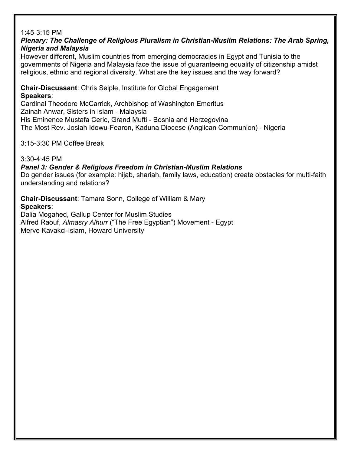#### 1:45-3:15 PM

### *Plenary: The Challenge of Religious Pluralism in Christian-Muslim Relations: The Arab Spring, Nigeria and Malaysia*

However different, Muslim countries from emerging democracies in Egypt and Tunisia to the governments of Nigeria and Malaysia face the issue of guaranteeing equality of citizenship amidst religious, ethnic and regional diversity. What are the key issues and the way forward?

**Chair-Discussant**: Chris Seiple, Institute for Global Engagement **Speakers**:

Cardinal Theodore McCarrick, Archbishop of Washington Emeritus Zainah Anwar, Sisters in Islam - Malaysia His Eminence Mustafa Ceric, Grand Mufti - Bosnia and Herzegovina The Most Rev. Josiah Idowu-Fearon, Kaduna Diocese (Anglican Communion) - Nigeria

3:15-3:30 PM Coffee Break

3:30-4:45 PM

*Panel 3: Gender & Religious Freedom in Christian-Muslim Relations*

Do gender issues (for example: hijab, shariah, family laws, education) create obstacles for multi-faith understanding and relations?

**Chair-Discussant**: Tamara Sonn, College of William & Mary **Speakers**: Dalia Mogahed, Gallup Center for Muslim Studies Alfred Raouf, *Almasry Alhurr* ("The Free Egyptian") Movement - Egypt Merve Kavakci-Islam, Howard University